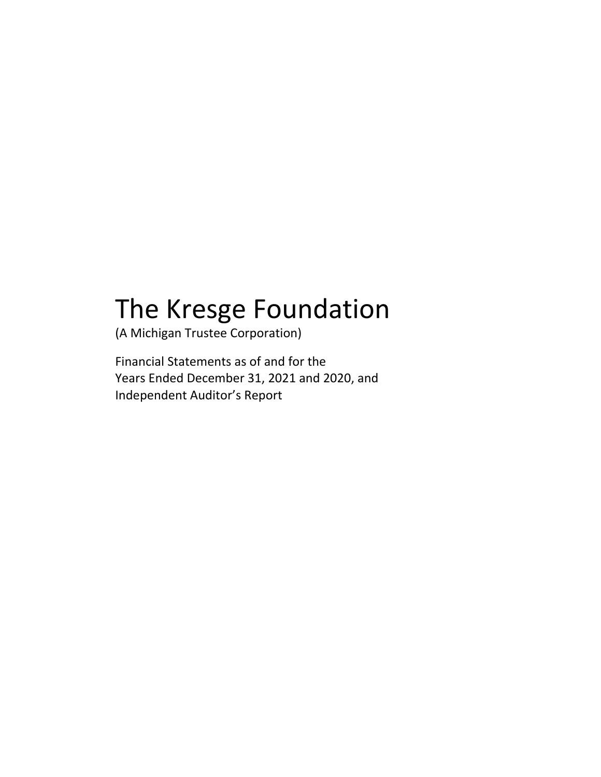# The Kresge Foundation

(A Michigan Trustee Corporation)

Financial Statements as of and for the Years Ended December 31, 2021 and 2020, and Independent Auditor's Report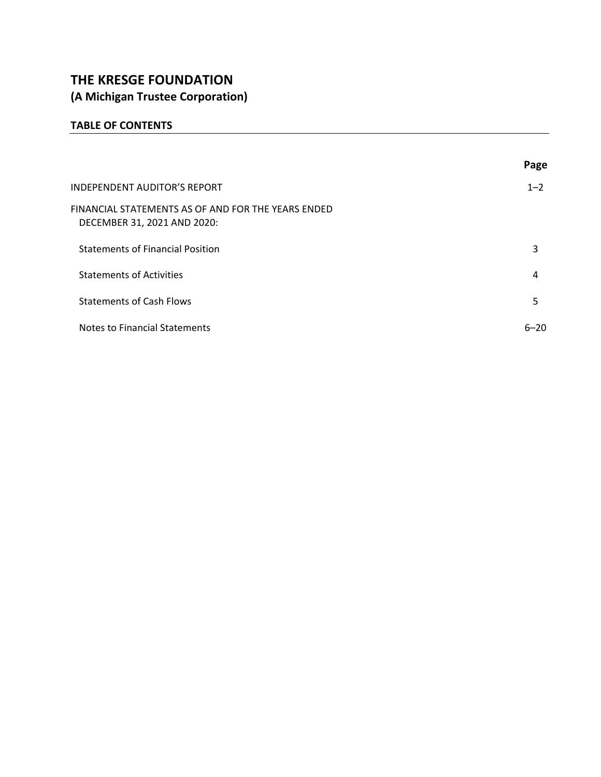# **TABLE OF CONTENTS**

|                                                                                    | Page     |
|------------------------------------------------------------------------------------|----------|
| INDEPENDENT AUDITOR'S REPORT                                                       | $1 - 2$  |
| FINANCIAL STATEMENTS AS OF AND FOR THE YEARS ENDED.<br>DECEMBER 31, 2021 AND 2020: |          |
| <b>Statements of Financial Position</b>                                            | 3        |
| <b>Statements of Activities</b>                                                    | 4        |
| <b>Statements of Cash Flows</b>                                                    | 5        |
| Notes to Financial Statements                                                      | $6 - 20$ |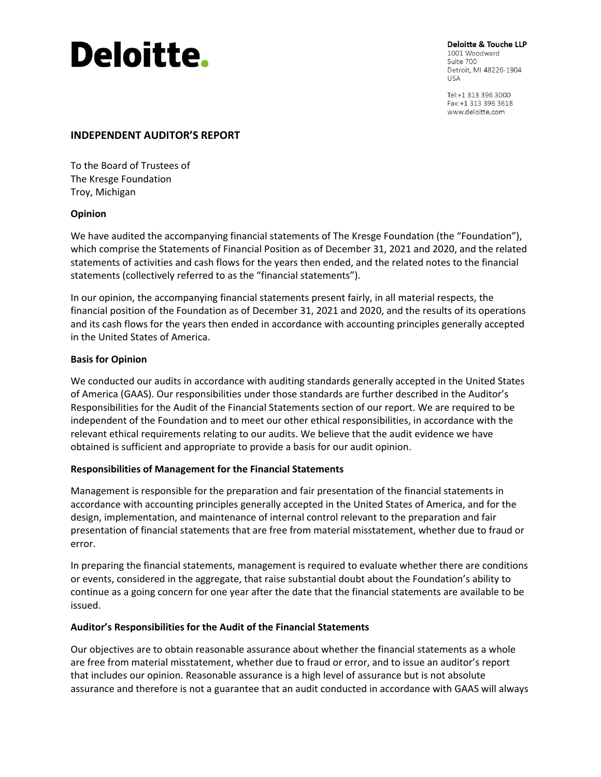# I

Deloitte & Touche LLP 1001 Woodward Suite 700 Detroit, MI 48226-1904 **USA** 

Tel: +1 313 396 3000 Fax: +1 313 396 3618 www.deloitte.com

# **INDEPENDENT AUDITOR'S REPORT**

To the Board of Trustees of The Kresge Foundation Troy, Michigan

# **Opinion**

We have audited the accompanying financial statements of The Kresge Foundation (the "Foundation"), which comprise the Statements of Financial Position as of December 31, 2021 and 2020, and the related statements of activities and cash flows for the years then ended, and the related notes to the financial statements (collectively referred to as the "financial statements").

In our opinion, the accompanying financial statements present fairly, in all material respects, the financial position of the Foundation as of December 31, 2021 and 2020, and the results of its operations and its cash flows for the years then ended in accordance with accounting principles generally accepted in the United States of America.

# **Basis for Opinion**

We conducted our audits in accordance with auditing standards generally accepted in the United States of America (GAAS). Our responsibilities under those standards are further described in the Auditor's Responsibilities for the Audit of the Financial Statements section of our report. We are required to be independent of the Foundation and to meet our other ethical responsibilities, in accordance with the relevant ethical requirements relating to our audits. We believe that the audit evidence we have obtained is sufficient and appropriate to provide a basis for our audit opinion.

# **Responsibilities of Management for the Financial Statements**

Management is responsible for the preparation and fair presentation of the financial statements in accordance with accounting principles generally accepted in the United States of America, and for the design, implementation, and maintenance of internal control relevant to the preparation and fair presentation of financial statements that are free from material misstatement, whether due to fraud or error.

In preparing the financial statements, management is required to evaluate whether there are conditions or events, considered in the aggregate, that raise substantial doubt about the Foundation's ability to continue as a going concern for one year after the date that the financial statements are available to be issued.

### **Auditor's Responsibilities for the Audit of the Financial Statements**

Our objectives are to obtain reasonable assurance about whether the financial statements as a whole are free from material misstatement, whether due to fraud or error, and to issue an auditor's report that includes our opinion. Reasonable assurance is a high level of assurance but is not absolute assurance and therefore is not a guarantee that an audit conducted in accordance with GAAS will always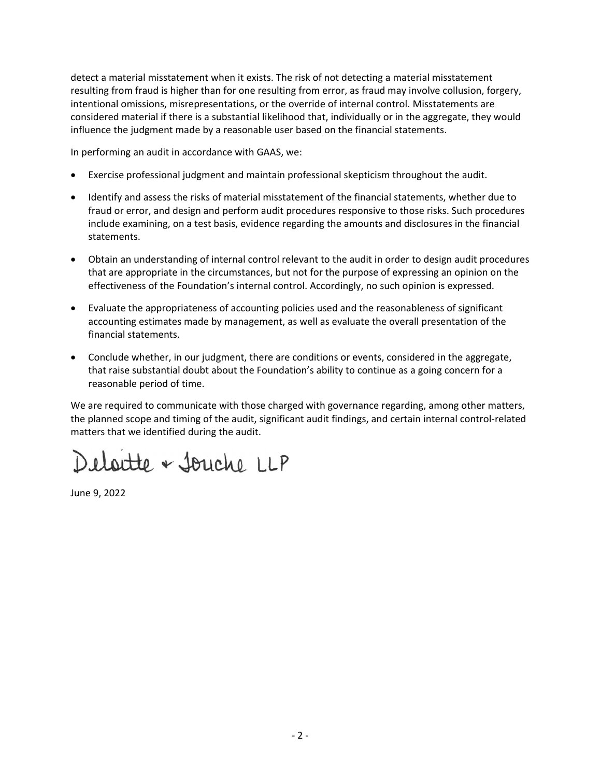detect a material misstatement when it exists. The risk of not detecting a material misstatement resulting from fraud is higher than for one resulting from error, as fraud may involve collusion, forgery, intentional omissions, misrepresentations, or the override of internal control. Misstatements are considered material if there is a substantial likelihood that, individually or in the aggregate, they would influence the judgment made by a reasonable user based on the financial statements.

In performing an audit in accordance with GAAS, we:

- Exercise professional judgment and maintain professional skepticism throughout the audit.
- Identify and assess the risks of material misstatement of the financial statements, whether due to fraud or error, and design and perform audit procedures responsive to those risks. Such procedures include examining, on a test basis, evidence regarding the amounts and disclosures in the financial statements.
- Obtain an understanding of internal control relevant to the audit in order to design audit procedures that are appropriate in the circumstances, but not for the purpose of expressing an opinion on the effectiveness of the Foundation's internal control. Accordingly, no such opinion is expressed.
- Evaluate the appropriateness of accounting policies used and the reasonableness of significant accounting estimates made by management, as well as evaluate the overall presentation of the financial statements.
- Conclude whether, in our judgment, there are conditions or events, considered in the aggregate, that raise substantial doubt about the Foundation's ability to continue as a going concern for a reasonable period of time.

We are required to communicate with those charged with governance regarding, among other matters, the planned scope and timing of the audit, significant audit findings, and certain internal control‐related matters that we identified during the audit.

Deloitte + Jouche LLP

June 9, 2022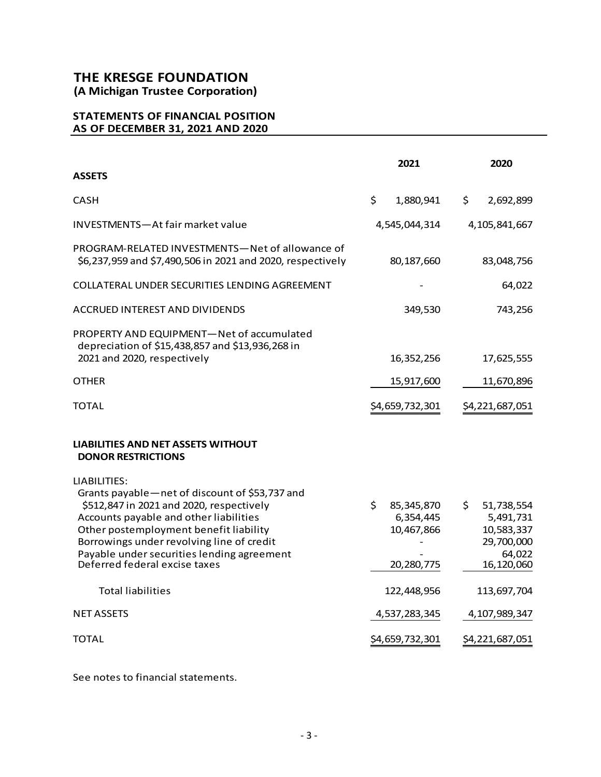# **STATEMENTS OF FINANCIAL POSITION AS OF DECEMBER 31, 2021 AND 2020**

| <b>ASSETS</b>                                                                                                                                                                                                                                                                                                                | 2021                                                      | 2020                                                                               |
|------------------------------------------------------------------------------------------------------------------------------------------------------------------------------------------------------------------------------------------------------------------------------------------------------------------------------|-----------------------------------------------------------|------------------------------------------------------------------------------------|
| CASH                                                                                                                                                                                                                                                                                                                         | \$<br>1,880,941                                           | \$<br>2,692,899                                                                    |
| <b>INVESTMENTS-At fair market value</b>                                                                                                                                                                                                                                                                                      | 4,545,044,314                                             | 4,105,841,667                                                                      |
| PROGRAM-RELATED INVESTMENTS-Net of allowance of<br>\$6,237,959 and \$7,490,506 in 2021 and 2020, respectively                                                                                                                                                                                                                | 80,187,660                                                | 83,048,756                                                                         |
| COLLATERAL UNDER SECURITIES LENDING AGREEMENT                                                                                                                                                                                                                                                                                |                                                           | 64,022                                                                             |
| ACCRUED INTEREST AND DIVIDENDS                                                                                                                                                                                                                                                                                               | 349,530                                                   | 743,256                                                                            |
| PROPERTY AND EQUIPMENT-Net of accumulated<br>depreciation of \$15,438,857 and \$13,936,268 in<br>2021 and 2020, respectively                                                                                                                                                                                                 | 16,352,256                                                | 17,625,555                                                                         |
| <b>OTHER</b>                                                                                                                                                                                                                                                                                                                 | 15,917,600                                                | 11,670,896                                                                         |
| TOTAL                                                                                                                                                                                                                                                                                                                        | \$4,659,732,301                                           | \$4,221,687,051                                                                    |
| LIABILITIES AND NET ASSETS WITHOUT<br><b>DONOR RESTRICTIONS</b>                                                                                                                                                                                                                                                              |                                                           |                                                                                    |
| LIABILITIES:<br>Grants payable - net of discount of \$53,737 and<br>\$512,847 in 2021 and 2020, respectively<br>Accounts payable and other liabilities<br>Other postemployment benefit liability<br>Borrowings under revolving line of credit<br>Payable under securities lending agreement<br>Deferred federal excise taxes | \$<br>85,345,870<br>6,354,445<br>10,467,866<br>20,280,775 | \$.<br>51,738,554<br>5,491,731<br>10,583,337<br>29,700,000<br>64,022<br>16,120,060 |
| <b>Total liabilities</b>                                                                                                                                                                                                                                                                                                     | 122,448,956                                               | 113,697,704                                                                        |
| <b>NET ASSETS</b>                                                                                                                                                                                                                                                                                                            | 4,537,283,345                                             | 4,107,989,347                                                                      |
| TOTAL                                                                                                                                                                                                                                                                                                                        | \$4,659,732,301                                           | \$4,221,687,051                                                                    |

See notes to financial statements.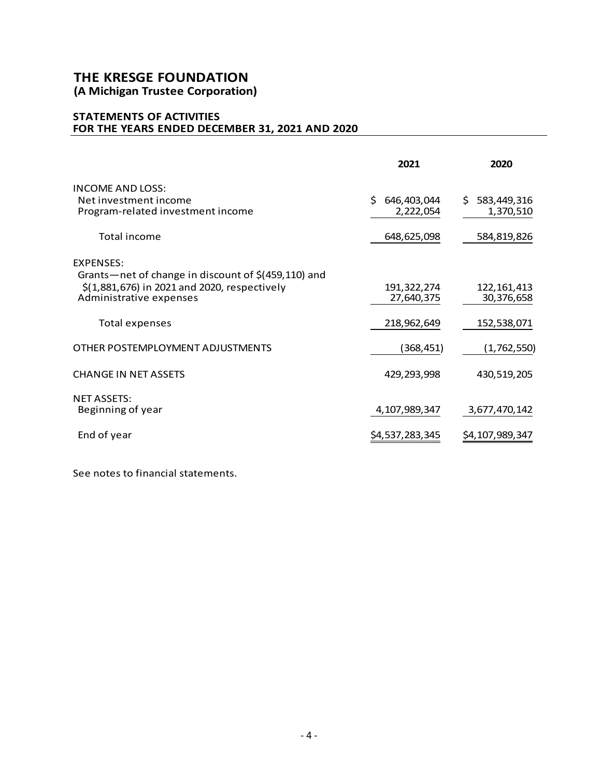# **STATEMENTS OF ACTIVITIES FOR THE YEARS ENDED DECEMBER 31, 2021 AND 2020**

|                                                                                                                                                                                                    | 2021                                     | 2020                                       |
|----------------------------------------------------------------------------------------------------------------------------------------------------------------------------------------------------|------------------------------------------|--------------------------------------------|
| <b>INCOME AND LOSS:</b><br>Net investment income<br>Program-related investment income                                                                                                              | 646,403,044<br>S.<br>2,222,054           | \$583,449,316<br>1,370,510                 |
| Total income                                                                                                                                                                                       | 648,625,098                              | 584,819,826                                |
| <b>EXPENSES:</b><br>Grants—net of change in discount of $\frac{2}{3}$ (459,110) and<br>$\frac{1}{2}(1,881,676)$ in 2021 and 2020, respectively<br>Administrative expenses<br><b>Total expenses</b> | 191,322,274<br>27,640,375<br>218,962,649 | 122, 161, 413<br>30,376,658<br>152,538,071 |
| OTHER POSTEMPLOYMENT ADJUSTMENTS                                                                                                                                                                   | (368,451)                                | (1,762,550)                                |
| <b>CHANGE IN NET ASSETS</b>                                                                                                                                                                        | 429,293,998                              | 430,519,205                                |
| NET ASSETS:<br>Beginning of year                                                                                                                                                                   | 4,107,989,347                            | 3,677,470,142                              |
| End of year                                                                                                                                                                                        | \$4,537,283,345                          | \$4,107,989,347                            |

See notes to financial statements.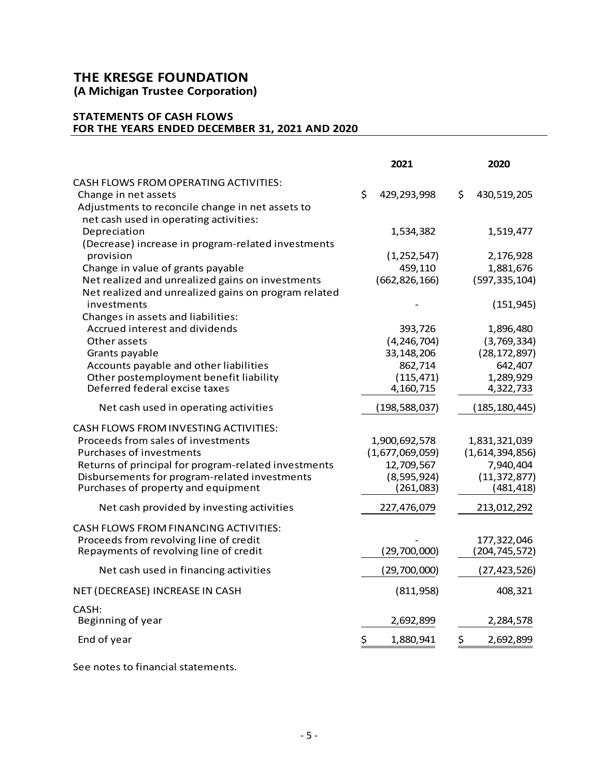# **STATEMENTS OF CASH FLOWS FOR THE YEARS ENDED DECEMBER 31, 2021 AND 2020**

|                                                                                                          | 2021                       | 2020                         |
|----------------------------------------------------------------------------------------------------------|----------------------------|------------------------------|
| CASH FLOWS FROM OPERATING ACTIVITIES:<br>Change in net assets                                            | \$<br>429,293,998          | \$<br>430,519,205            |
| Adjustments to reconcile change in net assets to<br>net cash used in operating activities:               |                            |                              |
| Depreciation<br>(Decrease) increase in program-related investments                                       | 1,534,382                  | 1,519,477                    |
| provision                                                                                                | (1, 252, 547)              | 2,176,928                    |
| Change in value of grants payable                                                                        | 459,110                    | 1,881,676                    |
| Net realized and unrealized gains on investments<br>Net realized and unrealized gains on program related | (662, 826, 166)            | (597, 335, 104)              |
| investments<br>Changes in assets and liabilities:                                                        |                            | (151, 945)                   |
| Accrued interest and dividends                                                                           | 393,726                    | 1,896,480                    |
| Other assets                                                                                             | (4, 246, 704)              | (3,769,334)                  |
| Grants payable                                                                                           | 33, 148, 206               | (28, 172, 897)               |
| Accounts payable and other liabilities                                                                   | 862,714                    | 642,407                      |
| Other postemployment benefit liability<br>Deferred federal excise taxes                                  | (115, 471)<br>4,160,715    | 1,289,929<br>4,322,733       |
| Net cash used in operating activities                                                                    | (198, 588, 037)            | (185, 180, 445)              |
| <b>CASH FLOWS FROM INVESTING ACTIVITIES:</b>                                                             |                            |                              |
| Proceeds from sales of investments                                                                       | 1,900,692,578              | 1,831,321,039                |
| Purchases of investments                                                                                 | (1,677,069,059)            | (1,614,394,856)              |
| Returns of principal for program-related investments                                                     | 12,709,567                 | 7,940,404                    |
| Disbursements for program-related investments<br>Purchases of property and equipment                     | (8, 595, 924)<br>(261,083) | (11, 372, 877)<br>(481, 418) |
| Net cash provided by investing activities                                                                | 227,476,079                | 213,012,292                  |
| CASH FLOWS FROM FINANCING ACTIVITIES:                                                                    |                            |                              |
| Proceeds from revolving line of credit                                                                   |                            | 177,322,046                  |
| Repayments of revolving line of credit                                                                   | (29,700,000)               | (204, 745, 572)              |
| Net cash used in financing activities                                                                    | (29,700,000)               | (27, 423, 526)               |
| NET (DECREASE) INCREASE IN CASH                                                                          | (811,958)                  | 408,321                      |
| CASH:<br>Beginning of year                                                                               | 2,692,899                  | 2,284,578                    |
| End of year                                                                                              | \$<br>1,880,941            | \$<br>2,692,899              |

See notes to financial statements.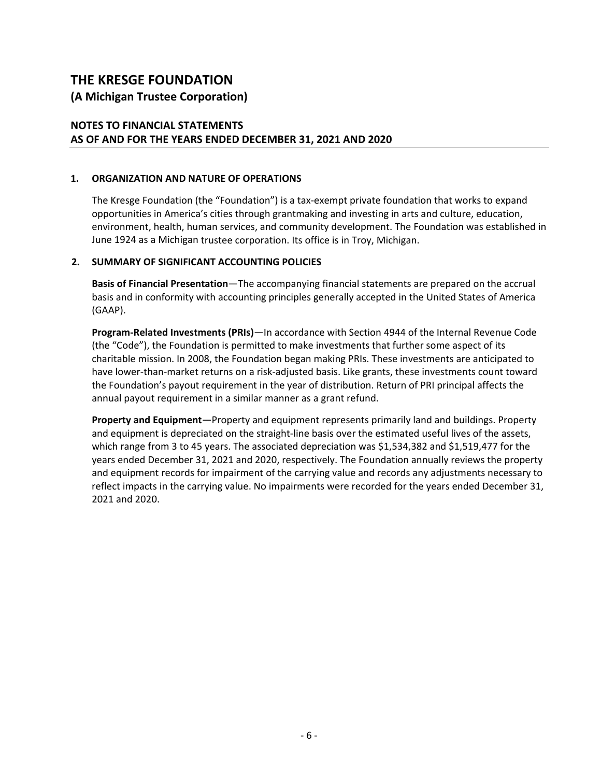# **THE KRESGE FOUNDATION**

# **(A Michigan Trustee Corporation)**

# **NOTES TO FINANCIAL STATEMENTS AS OF AND FOR THE YEARS ENDED DECEMBER 31, 2021 AND 2020**

# **1. ORGANIZATION AND NATURE OF OPERATIONS**

The Kresge Foundation (the "Foundation") is a tax‐exempt private foundation that works to expand opportunities in America's cities through grantmaking and investing in arts and culture, education, environment, health, human services, and community development. The Foundation was established in June 1924 as a Michigan trustee corporation. Its office is in Troy, Michigan.

# **2. SUMMARY OF SIGNIFICANT ACCOUNTING POLICIES**

**Basis of Financial Presentation**—The accompanying financial statements are prepared on the accrual basis and in conformity with accounting principles generally accepted in the United States of America (GAAP).

**Program‐Related Investments (PRIs)**—In accordance with Section 4944 of the Internal Revenue Code (the "Code"), the Foundation is permitted to make investments that further some aspect of its charitable mission. In 2008, the Foundation began making PRIs. These investments are anticipated to have lower-than-market returns on a risk-adjusted basis. Like grants, these investments count toward the Foundation's payout requirement in the year of distribution. Return of PRI principal affects the annual payout requirement in a similar manner as a grant refund.

**Property and Equipment**—Property and equipment represents primarily land and buildings. Property and equipment is depreciated on the straight-line basis over the estimated useful lives of the assets, which range from 3 to 45 years. The associated depreciation was \$1,534,382 and \$1,519,477 for the years ended December 31, 2021 and 2020, respectively. The Foundation annually reviews the property and equipment records for impairment of the carrying value and records any adjustments necessary to reflect impacts in the carrying value. No impairments were recorded for the years ended December 31, 2021 and 2020.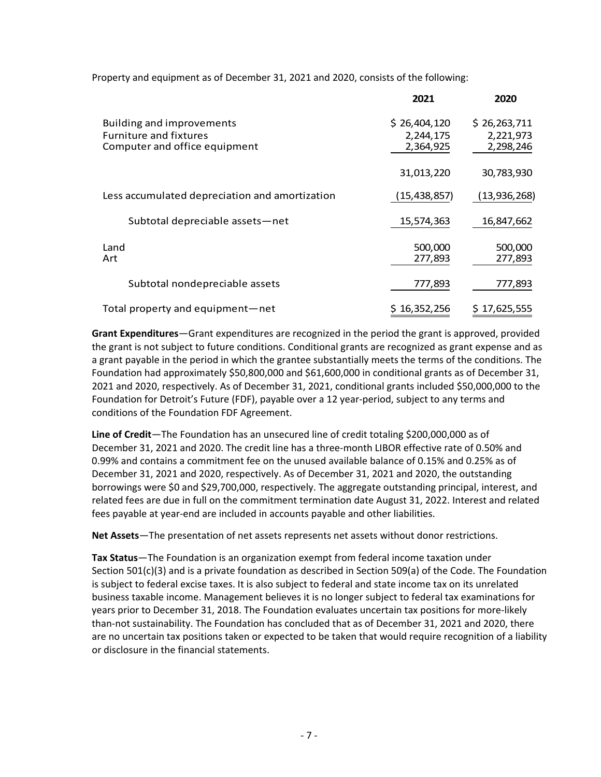Property and equipment as of December 31, 2021 and 2020, consists of the following:

|                                                                | 2021                   | 2020                   |
|----------------------------------------------------------------|------------------------|------------------------|
| <b>Building and improvements</b>                               | \$26,404,120           | \$26,263,711           |
| <b>Furniture and fixtures</b><br>Computer and office equipment | 2,244,175<br>2,364,925 | 2,221,973<br>2,298,246 |
|                                                                | 31,013,220             | 30,783,930             |
| Less accumulated depreciation and amortization                 | (15, 438, 857)         | (13,936,268)           |
| Subtotal depreciable assets-net                                | 15,574,363             | 16,847,662             |
| Land<br>Art                                                    | 500,000<br>277,893     | 500,000<br>277,893     |
| Subtotal nondepreciable assets                                 | 777,893                | 777,893                |
| Total property and equipment-net                               | \$16.352.256           | \$17,625,555           |

**Grant Expenditures**—Grant expenditures are recognized in the period the grant is approved, provided the grant is not subject to future conditions. Conditional grants are recognized as grant expense and as a grant payable in the period in which the grantee substantially meets the terms of the conditions. The Foundation had approximately \$50,800,000 and \$61,600,000 in conditional grants as of December 31, 2021 and 2020, respectively. As of December 31, 2021, conditional grants included \$50,000,000 to the Foundation for Detroit's Future (FDF), payable over a 12 year‐period, subject to any terms and conditions of the Foundation FDF Agreement.

**Line of Credit**—The Foundation has an unsecured line of credit totaling \$200,000,000 as of December 31, 2021 and 2020. The credit line has a three-month LIBOR effective rate of 0.50% and 0.99% and contains a commitment fee on the unused available balance of 0.15% and 0.25% as of December 31, 2021 and 2020, respectively. As of December 31, 2021 and 2020, the outstanding borrowings were \$0 and \$29,700,000, respectively. The aggregate outstanding principal, interest, and related fees are due in full on the commitment termination date August 31, 2022. Interest and related fees payable at year‐end are included in accounts payable and other liabilities.

**Net Assets**—The presentation of net assets represents net assets without donor restrictions.

**Tax Status**—The Foundation is an organization exempt from federal income taxation under Section 501(c)(3) and is a private foundation as described in Section 509(a) of the Code. The Foundation is subject to federal excise taxes. It is also subject to federal and state income tax on its unrelated business taxable income. Management believes it is no longer subject to federal tax examinations for years prior to December 31, 2018. The Foundation evaluates uncertain tax positions for more‐likely than‐not sustainability. The Foundation has concluded that as of December 31, 2021 and 2020, there are no uncertain tax positions taken or expected to be taken that would require recognition of a liability or disclosure in the financial statements.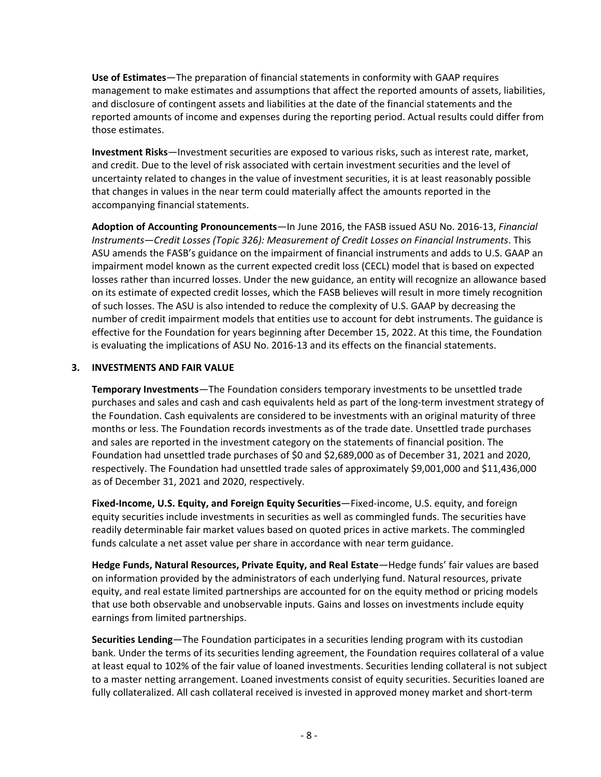**Use of Estimates**—The preparation of financial statements in conformity with GAAP requires management to make estimates and assumptions that affect the reported amounts of assets, liabilities, and disclosure of contingent assets and liabilities at the date of the financial statements and the reported amounts of income and expenses during the reporting period. Actual results could differ from those estimates.

**Investment Risks**—Investment securities are exposed to various risks, such as interest rate, market, and credit. Due to the level of risk associated with certain investment securities and the level of uncertainty related to changes in the value of investment securities, it is at least reasonably possible that changes in values in the near term could materially affect the amounts reported in the accompanying financial statements.

**Adoption of Accounting Pronouncements**—In June 2016, the FASB issued ASU No. 2016‐13, *Financial Instruments—Credit Losses (Topic 326): Measurement of Credit Losses on Financial Instruments*. This ASU amends the FASB's guidance on the impairment of financial instruments and adds to U.S. GAAP an impairment model known as the current expected credit loss (CECL) model that is based on expected losses rather than incurred losses. Under the new guidance, an entity will recognize an allowance based on its estimate of expected credit losses, which the FASB believes will result in more timely recognition of such losses. The ASU is also intended to reduce the complexity of U.S. GAAP by decreasing the number of credit impairment models that entities use to account for debt instruments. The guidance is effective for the Foundation for years beginning after December 15, 2022. At this time, the Foundation is evaluating the implications of ASU No. 2016‐13 and its effects on the financial statements.

# **3. INVESTMENTS AND FAIR VALUE**

**Temporary Investments**—The Foundation considers temporary investments to be unsettled trade purchases and sales and cash and cash equivalents held as part of the long-term investment strategy of the Foundation. Cash equivalents are considered to be investments with an original maturity of three months or less. The Foundation records investments as of the trade date. Unsettled trade purchases and sales are reported in the investment category on the statements of financial position. The Foundation had unsettled trade purchases of \$0 and \$2,689,000 as of December 31, 2021 and 2020, respectively. The Foundation had unsettled trade sales of approximately \$9,001,000 and \$11,436,000 as of December 31, 2021 and 2020, respectively.

**Fixed‐Income, U.S. Equity, and Foreign Equity Securities**—Fixed‐income, U.S. equity, and foreign equity securities include investments in securities as well as commingled funds. The securities have readily determinable fair market values based on quoted prices in active markets. The commingled funds calculate a net asset value per share in accordance with near term guidance.

**Hedge Funds, Natural Resources, Private Equity, and Real Estate**—Hedge funds' fair values are based on information provided by the administrators of each underlying fund. Natural resources, private equity, and real estate limited partnerships are accounted for on the equity method or pricing models that use both observable and unobservable inputs. Gains and losses on investments include equity earnings from limited partnerships.

**Securities Lending**—The Foundation participates in a securities lending program with its custodian bank. Under the terms of its securities lending agreement, the Foundation requires collateral of a value at least equal to 102% of the fair value of loaned investments. Securities lending collateral is not subject to a master netting arrangement. Loaned investments consist of equity securities. Securities loaned are fully collateralized. All cash collateral received is invested in approved money market and short‐term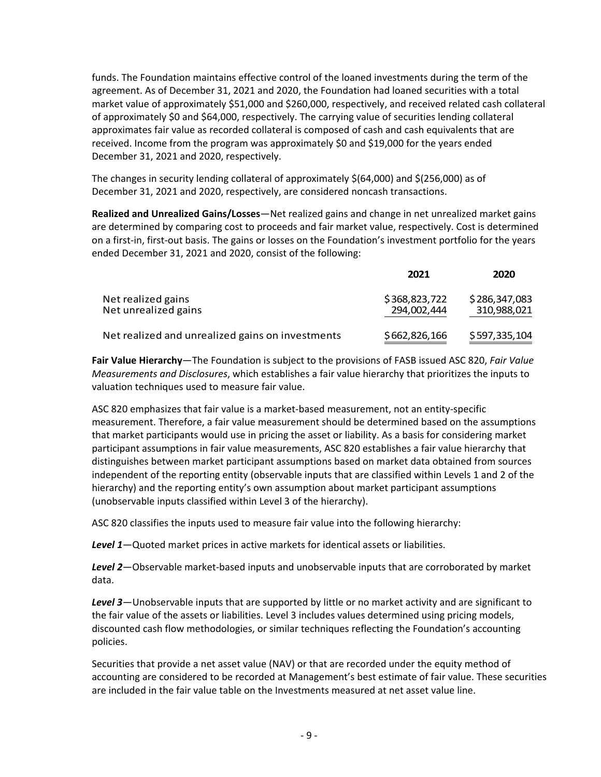funds. The Foundation maintains effective control of the loaned investments during the term of the agreement. As of December 31, 2021 and 2020, the Foundation had loaned securities with a total market value of approximately \$51,000 and \$260,000, respectively, and received related cash collateral of approximately \$0 and \$64,000, respectively. The carrying value of securities lending collateral approximates fair value as recorded collateral is composed of cash and cash equivalents that are received. Income from the program was approximately \$0 and \$19,000 for the years ended December 31, 2021 and 2020, respectively.

The changes in security lending collateral of approximately \$(64,000) and \$(256,000) as of December 31, 2021 and 2020, respectively, are considered noncash transactions.

**Realized and Unrealized Gains/Losses**—Net realized gains and change in net unrealized market gains are determined by comparing cost to proceeds and fair market value, respectively. Cost is determined on a first‐in, first‐out basis. The gains or losses on the Foundation's investment portfolio for the years ended December 31, 2021 and 2020, consist of the following:

|                                                  | 2021                         | 2020                         |
|--------------------------------------------------|------------------------------|------------------------------|
| Net realized gains<br>Net unrealized gains       | \$368,823,722<br>294,002,444 | \$286,347,083<br>310,988,021 |
| Net realized and unrealized gains on investments | \$662,826,166                | \$597,335,104                |

**Fair Value Hierarchy**—The Foundation is subject to the provisions of FASB issued ASC 820, *Fair Value Measurements and Disclosures*, which establishes a fair value hierarchy that prioritizes the inputs to valuation techniques used to measure fair value.

ASC 820 emphasizes that fair value is a market‐based measurement, not an entity‐specific measurement. Therefore, a fair value measurement should be determined based on the assumptions that market participants would use in pricing the asset or liability. As a basis for considering market participant assumptions in fair value measurements, ASC 820 establishes a fair value hierarchy that distinguishes between market participant assumptions based on market data obtained from sources independent of the reporting entity (observable inputs that are classified within Levels 1 and 2 of the hierarchy) and the reporting entity's own assumption about market participant assumptions (unobservable inputs classified within Level 3 of the hierarchy).

ASC 820 classifies the inputs used to measure fair value into the following hierarchy:

*Level 1*—Quoted market prices in active markets for identical assets or liabilities.

*Level 2*—Observable market‐based inputs and unobservable inputs that are corroborated by market data.

*Level 3*—Unobservable inputs that are supported by little or no market activity and are significant to the fair value of the assets or liabilities. Level 3 includes values determined using pricing models, discounted cash flow methodologies, or similar techniques reflecting the Foundation's accounting policies.

Securities that provide a net asset value (NAV) or that are recorded under the equity method of accounting are considered to be recorded at Management's best estimate of fair value. These securities are included in the fair value table on the Investments measured at net asset value line.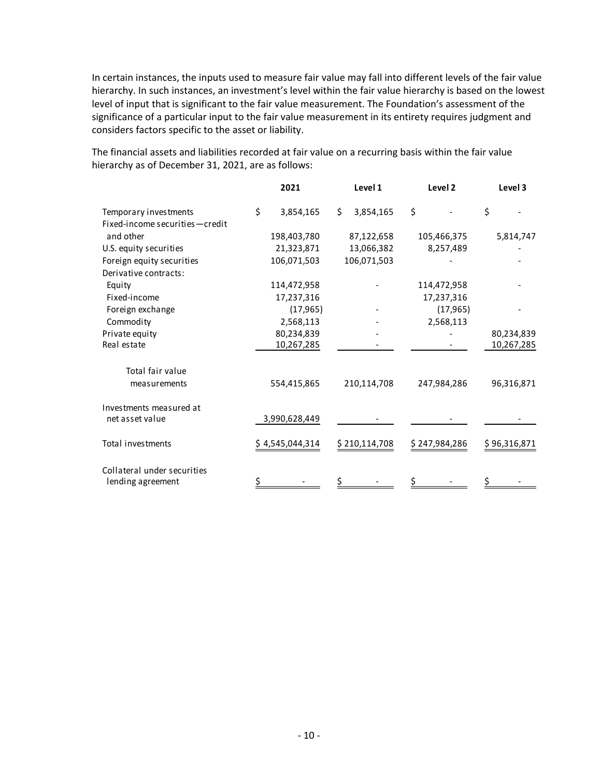In certain instances, the inputs used to measure fair value may fall into different levels of the fair value hierarchy. In such instances, an investment's level within the fair value hierarchy is based on the lowest level of input that is significant to the fair value measurement. The Foundation's assessment of the significance of a particular input to the fair value measurement in its entirety requires judgment and considers factors specific to the asset or liability.

The financial assets and liabilities recorded at fair value on a recurring basis within the fair value hierarchy as of December 31, 2021, are as follows:

|                                                  | 2021            |     | Level 1       | Level <sub>2</sub> | Level 3      |
|--------------------------------------------------|-----------------|-----|---------------|--------------------|--------------|
| Temporary investments                            | \$<br>3,854,165 | \$. | 3,854,165     | \$                 | \$           |
| Fixed-income securities - credit                 |                 |     |               |                    |              |
| and other                                        | 198,403,780     |     | 87,122,658    | 105,466,375        | 5,814,747    |
| U.S. equity securities                           | 21,323,871      |     | 13,066,382    | 8,257,489          |              |
| Foreign equity securities                        | 106,071,503     |     | 106,071,503   |                    |              |
| Derivative contracts:                            |                 |     |               |                    |              |
| Equity                                           | 114,472,958     |     |               | 114,472,958        |              |
| Fixed-income                                     | 17,237,316      |     |               | 17,237,316         |              |
| Foreign exchange                                 | (17, 965)       |     |               | (17, 965)          |              |
| Commodity                                        | 2,568,113       |     |               | 2,568,113          |              |
| Private equity                                   | 80,234,839      |     |               |                    | 80,234,839   |
| Real estate                                      | 10,267,285      |     |               |                    | 10,267,285   |
| Total fair value                                 |                 |     |               |                    |              |
| measurements                                     | 554,415,865     |     | 210,114,708   | 247,984,286        | 96,316,871   |
| Investments measured at                          |                 |     |               |                    |              |
| net asset value                                  | 3,990,628,449   |     |               |                    |              |
| Total investments                                | \$4,545,044,314 |     | \$210,114,708 | \$247,984,286      | \$96,316,871 |
| Collateral under securities<br>lending agreement |                 |     |               |                    |              |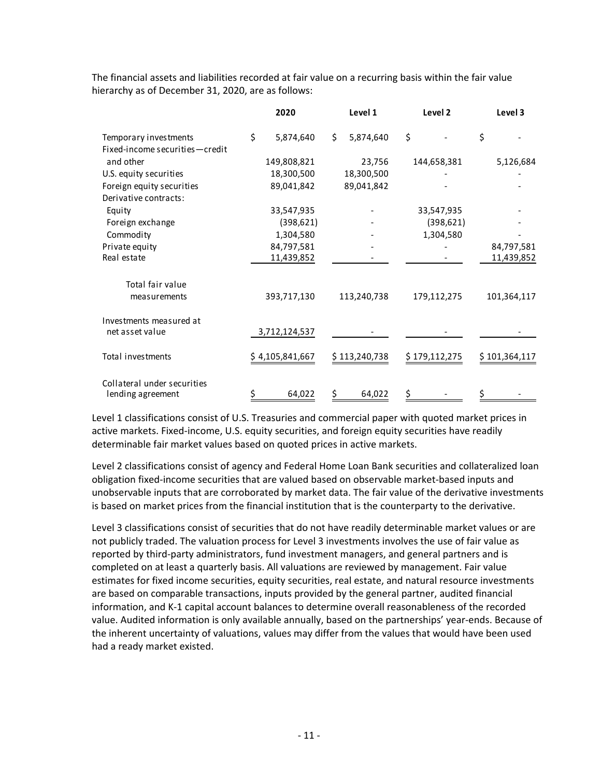| hierarchy as of December 31, 2020, are as follows:        |             |    |            |             |           |
|-----------------------------------------------------------|-------------|----|------------|-------------|-----------|
|                                                           | 2020        |    | Level 1    | Level 2     | Level 3   |
| Temporary investments<br>Fixed-income securities – credit | 5.874.640   | S. | 5.874.640  |             |           |
| and other                                                 | 149,808,821 |    | 23.756     | 144,658,381 | 5,126,684 |
| U.S. equity securities                                    | 18,300,500  |    | 18,300,500 | ٠           |           |
| Foreign equity securities                                 | 89,041,842  |    | 89,041,842 | -           |           |

Equity 33,547,935 ‐ ‐ 33,547,935

 Commodity 1,304,580 ‐ ‐ 1,304,580 Private equity 1.439,852<br>
Real estate 11,439,852 11,439,852

measurements 393,717,130 113,240,738 179,112,275 101,364,117

Foreign exchange  $(398,621)$   $\qquad \qquad$  (398,621)

11,43<u>9,852</u>

The financial assets and liabilities recorded at fair value on a recurring basis within the fair value

Derivative contracts:

Total fair value

Investments measured at

net asset value 3,712,124,537

| Collateral under securities<br>lending agreement                                                    | 64.022 | 64,022 |  |  |
|-----------------------------------------------------------------------------------------------------|--------|--------|--|--|
| evel 1 classifications consist of U.S. Treasuries and commercial paper with quoted market prices in |        |        |  |  |

Total investments 4,105,841,667 \$ \$ 113,240,738 \$ 179,112,275 \$ 101,364,117

Level 1 classifications consist of U.S. Treasuries and commercial paper with quoted market prices in active markets. Fixed-income, U.S. equity securities, and foreign equity securities have readily determinable fair market values based on quoted prices in active markets.

Level 2 classifications consist of agency and Federal Home Loan Bank securities and collateralized loan obligation fixed‐income securities that are valued based on observable market‐based inputs and unobservable inputs that are corroborated by market data. The fair value of the derivative investments is based on market prices from the financial institution that is the counterparty to the derivative.

Level 3 classifications consist of securities that do not have readily determinable market values or are not publicly traded. The valuation process for Level 3 investments involves the use of fair value as reported by third‐party administrators, fund investment managers, and general partners and is completed on at least a quarterly basis. All valuations are reviewed by management. Fair value estimates for fixed income securities, equity securities, real estate, and natural resource investments are based on comparable transactions, inputs provided by the general partner, audited financial information, and K‐1 capital account balances to determine overall reasonableness of the recorded value. Audited information is only available annually, based on the partnerships' year-ends. Because of the inherent uncertainty of valuations, values may differ from the values that would have been used had a ready market existed.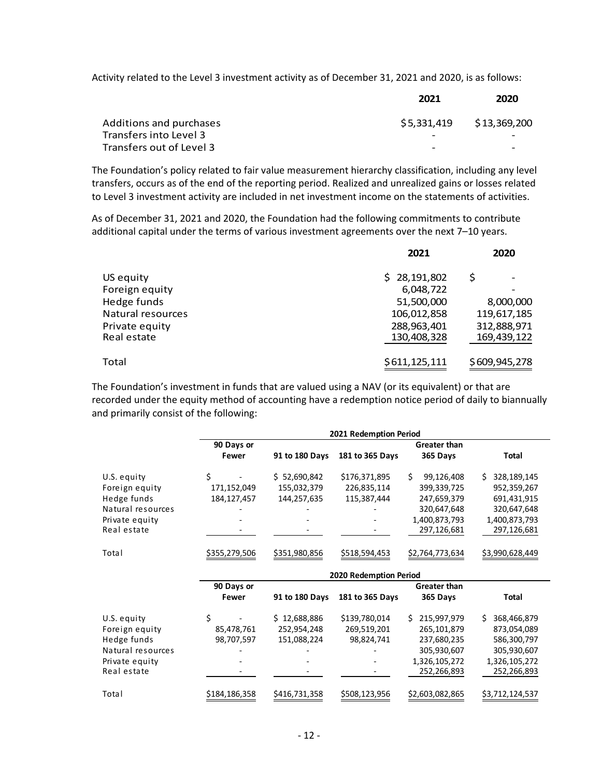Activity related to the Level 3 investment activity as of December 31, 2021 and 2020, is as follows:

|                          | 2021            | 2020                     |
|--------------------------|-----------------|--------------------------|
| Additions and purchases  | \$5.331.419     | \$13,369,200             |
| Transfers into Level 3   | $\qquad \qquad$ | $\overline{\phantom{0}}$ |
| Transfers out of Level 3 | $\qquad \qquad$ |                          |

The Foundation's policy related to fair value measurement hierarchy classification, including any level transfers, occurs as of the end of the reporting period. Realized and unrealized gains or losses related to Level 3 investment activity are included in net investment income on the statements of activities.

As of December 31, 2021 and 2020, the Foundation had the following commitments to contribute additional capital under the terms of various investment agreements over the next 7–10 years.

|                   | 2021          | 2020          |  |  |
|-------------------|---------------|---------------|--|--|
| US equity         | \$28,191,802  | \$            |  |  |
| Foreign equity    | 6,048,722     |               |  |  |
| Hedge funds       | 51,500,000    | 8,000,000     |  |  |
| Natural resources | 106,012,858   | 119,617,185   |  |  |
| Private equity    | 288,963,401   | 312,888,971   |  |  |
| Real estate       | 130,408,328   | 169,439,122   |  |  |
| Total             | \$611,125,111 | \$609,945,278 |  |  |

The Foundation's investment in funds that are valued using a NAV (or its equivalent) or that are recorded under the equity method of accounting have a redemption notice period of daily to biannually and primarily consist of the following:

|                   | 2021 Redemption Period            |                |                        |                     |                   |  |  |
|-------------------|-----------------------------------|----------------|------------------------|---------------------|-------------------|--|--|
|                   | 90 Days or<br><b>Greater than</b> |                |                        |                     |                   |  |  |
|                   | Fewer                             | 91 to 180 Days | 181 to 365 Days        | 365 Days            | <b>Total</b>      |  |  |
| U.S. equity       | \$                                | \$52,690,842   | \$176,371,895          | Ś.<br>99,126,408    | 328,189,145<br>Ś. |  |  |
| Foreign equity    | 171,152,049                       | 155,032,379    | 226,835,114            | 399,339,725         | 952,359,267       |  |  |
| Hedge funds       | 184, 127, 457                     | 144,257,635    | 115,387,444            | 247,659,379         | 691,431,915       |  |  |
| Natural resources |                                   |                |                        | 320,647,648         | 320,647,648       |  |  |
| Private equity    |                                   |                |                        | 1,400,873,793       | 1,400,873,793     |  |  |
| Real estate       |                                   |                |                        | 297,126,681         | 297,126,681       |  |  |
|                   |                                   |                |                        |                     |                   |  |  |
| Total             | \$355,279,506                     | \$351,980,856  | \$518,594,453          | \$2,764,773,634     | \$3,990,628,449   |  |  |
|                   |                                   |                |                        |                     |                   |  |  |
|                   |                                   |                | 2020 Redemption Period |                     |                   |  |  |
|                   | 90 Days or                        |                |                        | <b>Greater than</b> |                   |  |  |
|                   | Fewer                             | 91 to 180 Days | 181 to 365 Days        | 365 Days            | <b>Total</b>      |  |  |
| U.S. equity       | Ś                                 | \$12,688,886   | \$139,780,014          | 215,997,979<br>Ś.   | Ś.<br>368,466,879 |  |  |
| Foreign equity    | 85,478,761                        | 252,954,248    | 269,519,201            | 265,101,879         | 873,054,089       |  |  |
| Hedge funds       | 98,707,597                        | 151,088,224    | 98,824,741             | 237,680,235         | 586,300,797       |  |  |
| Natural resources |                                   |                |                        | 305,930,607         | 305,930,607       |  |  |
| Private equity    |                                   |                |                        | 1,326,105,272       | 1,326,105,272     |  |  |
| Real estate       |                                   |                |                        | 252,266,893         | 252,266,893       |  |  |
|                   |                                   |                |                        |                     |                   |  |  |
| Total             | \$184,186,358                     | \$416,731,358  | \$508,123,956          | \$2,603,082,865     | \$3,712,124,537   |  |  |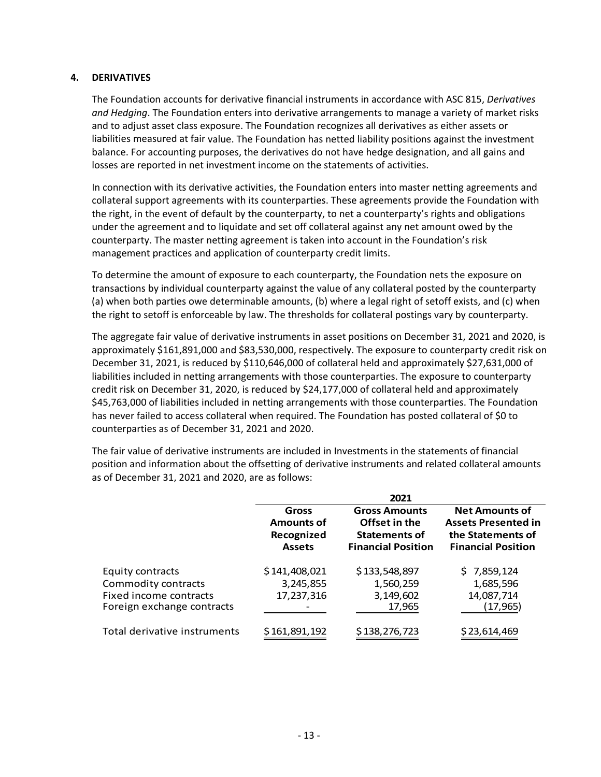### **4. DERIVATIVES**

The Foundation accounts for derivative financial instruments in accordance with ASC 815, *Derivatives and Hedging*. The Foundation enters into derivative arrangements to manage a variety of market risks and to adjust asset class exposure. The Foundation recognizes all derivatives as either assets or liabilities measured at fair value. The Foundation has netted liability positions against the investment balance. For accounting purposes, the derivatives do not have hedge designation, and all gains and losses are reported in net investment income on the statements of activities.

In connection with its derivative activities, the Foundation enters into master netting agreements and collateral support agreements with its counterparties. These agreements provide the Foundation with the right, in the event of default by the counterparty, to net a counterparty's rights and obligations under the agreement and to liquidate and set off collateral against any net amount owed by the counterparty. The master netting agreement is taken into account in the Foundation's risk management practices and application of counterparty credit limits.

To determine the amount of exposure to each counterparty, the Foundation nets the exposure on transactions by individual counterparty against the value of any collateral posted by the counterparty (a) when both parties owe determinable amounts, (b) where a legal right of setoff exists, and (c) when the right to setoff is enforceable by law. The thresholds for collateral postings vary by counterparty.

The aggregate fair value of derivative instruments in asset positions on December 31, 2021 and 2020, is approximately \$161,891,000 and \$83,530,000, respectively. The exposure to counterparty credit risk on December 31, 2021, is reduced by \$110,646,000 of collateral held and approximately \$27,631,000 of liabilities included in netting arrangements with those counterparties. The exposure to counterparty credit risk on December 31, 2020, is reduced by \$24,177,000 of collateral held and approximately \$45,763,000 of liabilities included in netting arrangements with those counterparties. The Foundation has never failed to access collateral when required. The Foundation has posted collateral of \$0 to counterparties as of December 31, 2021 and 2020.

The fair value of derivative instruments are included in Investments in the statements of financial position and information about the offsetting of derivative instruments and related collateral amounts as of December 31, 2021 and 2020, are as follows:

|                              | 2021                                                      |                                                                                            |                                                                                                       |
|------------------------------|-----------------------------------------------------------|--------------------------------------------------------------------------------------------|-------------------------------------------------------------------------------------------------------|
|                              | Gross<br><b>Amounts of</b><br>Recognized<br><b>Assets</b> | <b>Gross Amounts</b><br>Offset in the<br><b>Statements of</b><br><b>Financial Position</b> | <b>Net Amounts of</b><br><b>Assets Presented in</b><br>the Statements of<br><b>Financial Position</b> |
| Equity contracts             | \$141,408,021                                             | \$133,548,897                                                                              | \$7,859,124                                                                                           |
| Commodity contracts          | 3,245,855                                                 | 1,560,259                                                                                  | 1,685,596                                                                                             |
| Fixed income contracts       | 17,237,316                                                | 3,149,602                                                                                  | 14,087,714                                                                                            |
| Foreign exchange contracts   |                                                           | 17,965                                                                                     | (17, 965)                                                                                             |
| Total derivative instruments | \$161,891,192                                             | \$138,276,723                                                                              | \$23,614,469                                                                                          |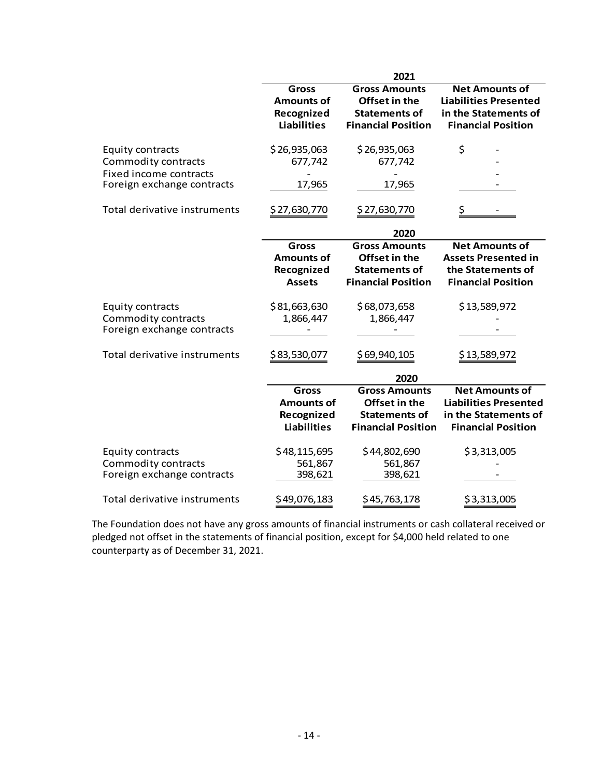|                               | 2021               |                           |                              |
|-------------------------------|--------------------|---------------------------|------------------------------|
|                               | Gross              | <b>Gross Amounts</b>      | <b>Net Amounts of</b>        |
|                               | <b>Amounts of</b>  | Offset in the             | <b>Liabilities Presented</b> |
|                               | Recognized         | <b>Statements of</b>      | in the Statements of         |
|                               | <b>Liabilities</b> | <b>Financial Position</b> | <b>Financial Position</b>    |
| Equity contracts              | \$26,935,063       | \$26,935,063              | \$                           |
| Commodity contracts           | 677,742            | 677,742                   |                              |
| <b>Fixed income contracts</b> |                    |                           |                              |
| Foreign exchange contracts    | 17,965             | 17,965                    |                              |
| Total derivative instruments  | \$27,630,770       | \$27,630,770              | Ş                            |
|                               |                    | 2020                      |                              |
|                               | Gross              | <b>Gross Amounts</b>      | <b>Net Amounts of</b>        |
|                               | <b>Amounts of</b>  | Offset in the             | <b>Assets Presented in</b>   |
|                               | Recognized         | <b>Statements of</b>      | the Statements of            |
|                               | <b>Assets</b>      | <b>Financial Position</b> | <b>Financial Position</b>    |
| Equity contracts              | \$81,663,630       | \$68,073,658              | \$13,589,972                 |
| Commodity contracts           | 1,866,447          | 1,866,447                 |                              |
| Foreign exchange contracts    |                    |                           |                              |
| Total derivative instruments  | \$83,530,077       | \$69,940,105              | \$13,589,972                 |
|                               | 2020               |                           |                              |
|                               | Gross              | <b>Gross Amounts</b>      | <b>Net Amounts of</b>        |
|                               | <b>Amounts of</b>  | Offset in the             | <b>Liabilities Presented</b> |
|                               | Recognized         | <b>Statements of</b>      | in the Statements of         |
|                               | <b>Liabilities</b> | <b>Financial Position</b> | <b>Financial Position</b>    |
| Equity contracts              | \$48,115,695       | \$44,802,690              | \$3,313,005                  |
| <b>Commodity contracts</b>    | 561,867            | 561,867                   |                              |
| Foreign exchange contracts    | 398,621            | 398,621                   |                              |
| Total derivative instruments  | \$49,076,183       | \$45,763,178              | \$3,313,005                  |

The Foundation does not have any gross amounts of financial instruments or cash collateral received or pledged not offset in the statements of financial position, except for \$4,000 held related to one counterparty as of December 31, 2021.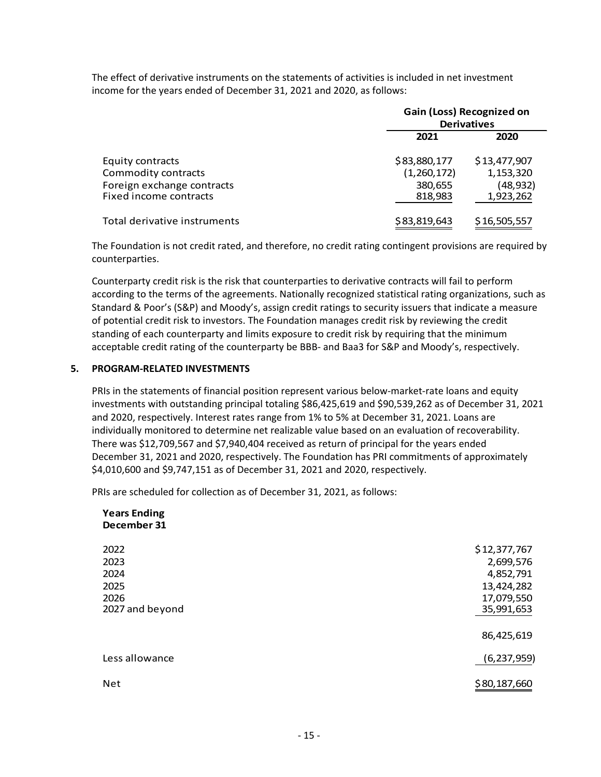The effect of derivative instruments on the statements of activities is included in net investment income for the years ended of December 31, 2021 and 2020, as follows:

|                                                             | Gain (Loss) Recognized on<br><b>Derivatives</b> |                        |
|-------------------------------------------------------------|-------------------------------------------------|------------------------|
|                                                             | 2021                                            | 2020                   |
| Equity contracts                                            | \$83,880,177                                    | \$13,477,907           |
| Commodity contracts                                         | (1,260,172)                                     | 1,153,320              |
| Foreign exchange contracts<br><b>Fixed income contracts</b> | 380,655<br>818,983                              | (48, 932)<br>1,923,262 |
| Total derivative instruments                                | \$83,819,643                                    | \$16,505,557           |

The Foundation is not credit rated, and therefore, no credit rating contingent provisions are required by counterparties.

Counterparty credit risk is the risk that counterparties to derivative contracts will fail to perform according to the terms of the agreements. Nationally recognized statistical rating organizations, such as Standard & Poor's (S&P) and Moody's, assign credit ratings to security issuers that indicate a measure of potential credit risk to investors. The Foundation manages credit risk by reviewing the credit standing of each counterparty and limits exposure to credit risk by requiring that the minimum acceptable credit rating of the counterparty be BBB‐ and Baa3 for S&P and Moody's, respectively.

#### **5. PROGRAM‐RELATED INVESTMENTS**

PRIs in the statements of financial position represent various below‐market‐rate loans and equity investments with outstanding principal totaling \$86,425,619 and \$90,539,262 as of December 31, 2021 and 2020, respectively. Interest rates range from 1% to 5% at December 31, 2021. Loans are individually monitored to determine net realizable value based on an evaluation of recoverability. There was \$12,709,567 and \$7,940,404 received as return of principal for the years ended December 31, 2021 and 2020, respectively. The Foundation has PRI commitments of approximately \$4,010,600 and \$9,747,151 as of December 31, 2021 and 2020, respectively.

PRIs are scheduled for collection as of December 31, 2021, as follows:

| <b>Years Ending</b><br>December 31 |               |
|------------------------------------|---------------|
| 2022                               | \$12,377,767  |
| 2023                               | 2,699,576     |
| 2024                               | 4,852,791     |
| 2025                               | 13,424,282    |
| 2026                               | 17,079,550    |
| 2027 and beyond                    | 35,991,653    |
|                                    | 86,425,619    |
| Less allowance                     | (6, 237, 959) |
| <b>Net</b>                         | \$80,187,660  |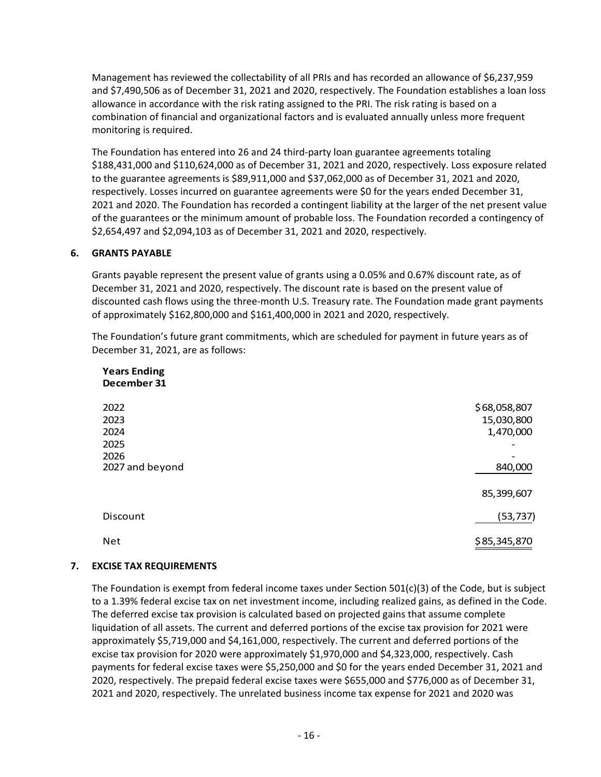Management has reviewed the collectability of all PRIs and has recorded an allowance of \$6,237,959 and \$7,490,506 as of December 31, 2021 and 2020, respectively. The Foundation establishes a loan loss allowance in accordance with the risk rating assigned to the PRI. The risk rating is based on a combination of financial and organizational factors and is evaluated annually unless more frequent monitoring is required.

The Foundation has entered into 26 and 24 third‐party loan guarantee agreements totaling \$188,431,000 and \$110,624,000 as of December 31, 2021 and 2020, respectively. Loss exposure related to the guarantee agreements is \$89,911,000 and \$37,062,000 as of December 31, 2021 and 2020, respectively. Losses incurred on guarantee agreements were \$0 for the years ended December 31, 2021 and 2020. The Foundation has recorded a contingent liability at the larger of the net present value of the guarantees or the minimum amount of probable loss. The Foundation recorded a contingency of \$2,654,497 and \$2,094,103 as of December 31, 2021 and 2020, respectively.

### **6. GRANTS PAYABLE**

Grants payable represent the present value of grants using a 0.05% and 0.67% discount rate, as of December 31, 2021 and 2020, respectively. The discount rate is based on the present value of discounted cash flows using the three‐month U.S. Treasury rate. The Foundation made grant payments of approximately \$162,800,000 and \$161,400,000 in 2021 and 2020, respectively.

The Foundation's future grant commitments, which are scheduled for payment in future years as of December 31, 2021, are as follows:

| <b>Years Ending</b><br>December 31 |              |
|------------------------------------|--------------|
| 2022                               | \$68,058,807 |
| 2023                               | 15,030,800   |
| 2024                               | 1,470,000    |
| 2025                               |              |
| 2026                               |              |
| 2027 and beyond                    | 840,000      |
|                                    | 85,399,607   |
| Discount                           | (53, 737)    |
| <b>Net</b>                         | \$85,345,870 |

### **7. EXCISE TAX REQUIREMENTS**

The Foundation is exempt from federal income taxes under Section  $501(c)(3)$  of the Code, but is subject to a 1.39% federal excise tax on net investment income, including realized gains, as defined in the Code. The deferred excise tax provision is calculated based on projected gains that assume complete liquidation of all assets. The current and deferred portions of the excise tax provision for 2021 were approximately \$5,719,000 and \$4,161,000, respectively. The current and deferred portions of the excise tax provision for 2020 were approximately \$1,970,000 and \$4,323,000, respectively. Cash payments for federal excise taxes were \$5,250,000 and \$0 for the years ended December 31, 2021 and 2020, respectively. The prepaid federal excise taxes were \$655,000 and \$776,000 as of December 31, 2021 and 2020, respectively. The unrelated business income tax expense for 2021 and 2020 was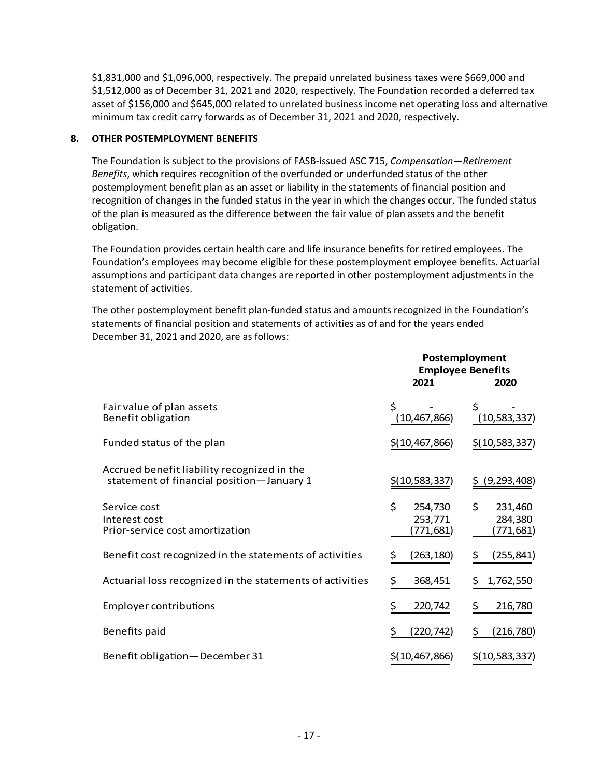\$1,831,000 and \$1,096,000, respectively. The prepaid unrelated business taxes were \$669,000 and \$1,512,000 as of December 31, 2021 and 2020, respectively. The Foundation recorded a deferred tax asset of \$156,000 and \$645,000 related to unrelated business income net operating loss and alternative minimum tax credit carry forwards as of December 31, 2021 and 2020, respectively.

# **8. OTHER POSTEMPLOYMENT BENEFITS**

The Foundation is subject to the provisions of FASB‐issued ASC 715, *Compensation—Retirement Benefits*, which requires recognition of the overfunded or underfunded status of the other postemployment benefit plan as an asset or liability in the statements of financial position and recognition of changes in the funded status in the year in which the changes occur. The funded status of the plan is measured as the difference between the fair value of plan assets and the benefit obligation.

The Foundation provides certain health care and life insurance benefits for retired employees. The Foundation's employees may become eligible for these postemployment employee benefits. Actuarial assumptions and participant data changes are reported in other postemployment adjustments in the statement of activities.

The other postemployment benefit plan-funded status and amounts recognized in the Foundation's statements of financial position and statements of activities as of and for the years ended December 31, 2021 and 2020, are as follows:

|                                                                                          | Postemployment<br><b>Employee Benefits</b> |                                       |
|------------------------------------------------------------------------------------------|--------------------------------------------|---------------------------------------|
|                                                                                          | 2021                                       | 2020                                  |
| Fair value of plan assets<br>Benefit obligation                                          | \$<br>(10, 467, 866)                       | \$<br>(10, 583, 337)                  |
| Funded status of the plan                                                                | \$(10, 467, 866)                           | \$(10, 583, 337)                      |
| Accrued benefit liability recognized in the<br>statement of financial position-January 1 | \$(10, 583, 337)                           | (9, 293, 408)                         |
| Service cost<br>Interest cost<br>Prior-service cost amortization                         | \$<br>254,730<br>253,771<br>(771, 681)     | \$<br>231,460<br>284,380<br>(771,681) |
| Benefit cost recognized in the statements of activities                                  | (263, 180)                                 | (255,841)                             |
| Actuarial loss recognized in the statements of activities                                | 368,451<br>\$                              | \$<br>1,762,550                       |
| <b>Employer contributions</b>                                                            | 220,742                                    | 216,780                               |
| Benefits paid                                                                            | (220,742)                                  | (216, 780)                            |
| Benefit obligation-December 31                                                           | \$(10,467,866)                             | \$(10, 583, 337)                      |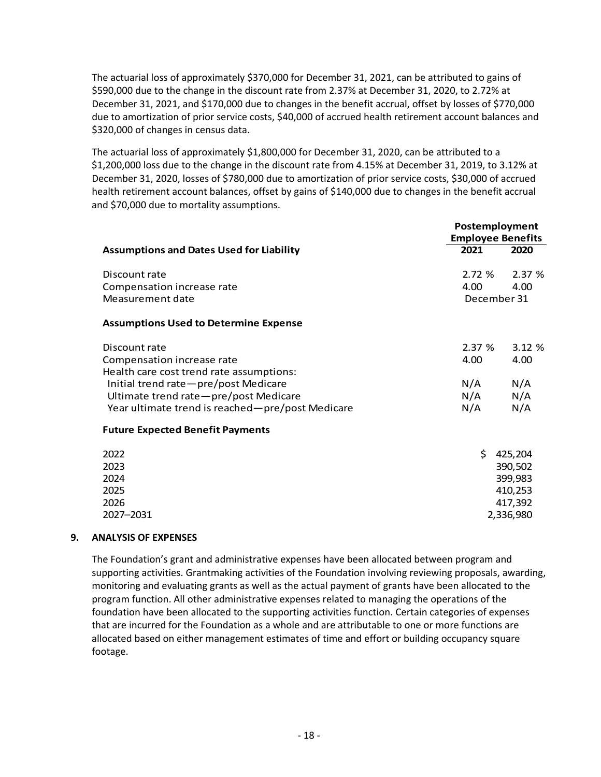The actuarial loss of approximately \$370,000 for December 31, 2021, can be attributed to gains of \$590,000 due to the change in the discount rate from 2.37% at December 31, 2020, to 2.72% at December 31, 2021, and \$170,000 due to changes in the benefit accrual, offset by losses of \$770,000 due to amortization of prior service costs, \$40,000 of accrued health retirement account balances and \$320,000 of changes in census data.

The actuarial loss of approximately \$1,800,000 for December 31, 2020, can be attributed to a \$1,200,000 loss due to the change in the discount rate from 4.15% at December 31, 2019, to 3.12% at December 31, 2020, losses of \$780,000 due to amortization of prior service costs, \$30,000 of accrued health retirement account balances, offset by gains of \$140,000 due to changes in the benefit accrual and \$70,000 due to mortality assumptions.

|                                                  | Postemployment           |           |
|--------------------------------------------------|--------------------------|-----------|
|                                                  | <b>Employee Benefits</b> |           |
| <b>Assumptions and Dates Used for Liability</b>  | 2021                     | 2020      |
| Discount rate                                    | 2.72%                    | 2.37 %    |
| Compensation increase rate                       | 4.00                     | 4.00      |
| Measurement date                                 | December 31              |           |
| <b>Assumptions Used to Determine Expense</b>     |                          |           |
| Discount rate                                    | 2.37%                    | 3.12%     |
| Compensation increase rate                       | 4.00                     | 4.00      |
| Health care cost trend rate assumptions:         |                          |           |
| Initial trend rate - pre/post Medicare           | N/A                      | N/A       |
| Ultimate trend rate-pre/post Medicare            | N/A                      | N/A       |
| Year ultimate trend is reached-pre/post Medicare | N/A                      | N/A       |
| <b>Future Expected Benefit Payments</b>          |                          |           |
| 2022                                             | \$                       | 425,204   |
| 2023                                             |                          | 390,502   |
| 2024                                             |                          | 399,983   |
| 2025                                             |                          | 410,253   |
| 2026                                             |                          | 417,392   |
| 2027-2031                                        |                          | 2,336,980 |

### **9. ANALYSIS OF EXPENSES**

The Foundation's grant and administrative expenses have been allocated between program and supporting activities. Grantmaking activities of the Foundation involving reviewing proposals, awarding, monitoring and evaluating grants as well as the actual payment of grants have been allocated to the program function. All other administrative expenses related to managing the operations of the foundation have been allocated to the supporting activities function. Certain categories of expenses that are incurred for the Foundation as a whole and are attributable to one or more functions are allocated based on either management estimates of time and effort or building occupancy square footage.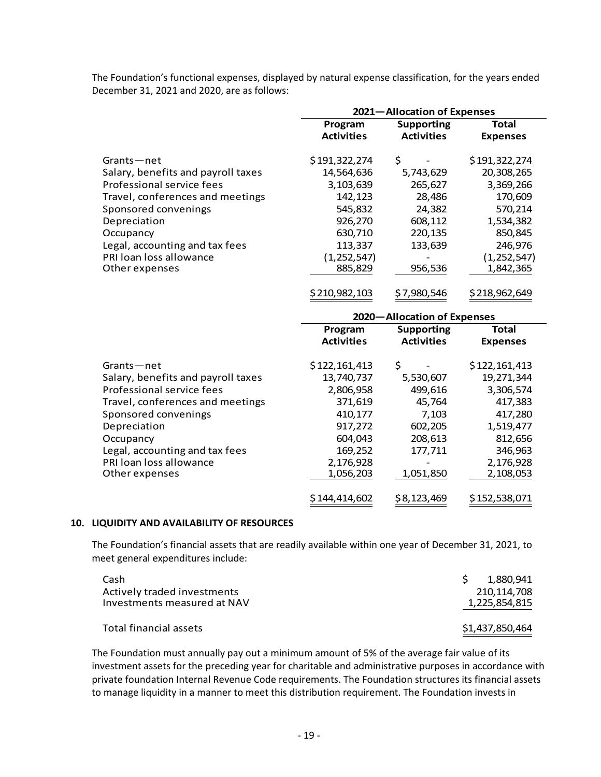The Foundation's functional expenses, displayed by natural expense classification, for the years ended December 31, 2021 and 2020, are as follows:

|                                                                 | 2021-Allocation of Expenses |                             |                         |
|-----------------------------------------------------------------|-----------------------------|-----------------------------|-------------------------|
|                                                                 | Program                     | <b>Supporting</b>           | <b>Total</b>            |
|                                                                 | <b>Activities</b>           | <b>Activities</b>           | <b>Expenses</b>         |
| Grants-net                                                      | \$191,322,274               | \$                          | \$191,322,274           |
| Salary, benefits and payroll taxes                              | 14,564,636                  | 5,743,629                   | 20,308,265              |
| Professional service fees                                       | 3,103,639                   | 265,627                     | 3,369,266               |
| Travel, conferences and meetings                                | 142,123                     | 28,486                      | 170,609                 |
| Sponsored convenings                                            | 545,832                     | 24,382                      | 570,214                 |
| Depreciation                                                    | 926,270                     | 608,112                     | 1,534,382               |
| Occupancy                                                       | 630,710                     | 220,135                     | 850,845                 |
| Legal, accounting and tax fees                                  | 113,337                     | 133,639                     | 246,976                 |
| PRI Ioan loss allowance                                         | (1, 252, 547)               |                             | (1, 252, 547)           |
| Other expenses                                                  | 885,829                     | 956,536                     | 1,842,365               |
|                                                                 | \$210,982,103               | \$7,980,546                 | \$218,962,649           |
|                                                                 |                             |                             |                         |
|                                                                 |                             | 2020-Allocation of Expenses |                         |
|                                                                 | Program                     | <b>Supporting</b>           | <b>Total</b>            |
|                                                                 | <b>Activities</b>           | <b>Activities</b>           | <b>Expenses</b>         |
| Grants-net                                                      |                             |                             |                         |
|                                                                 | \$122,161,413               | \$                          | \$122,161,413           |
| Salary, benefits and payroll taxes<br>Professional service fees | 13,740,737<br>2,806,958     | 5,530,607<br>499,616        | 19,271,344<br>3,306,574 |
| Travel, conferences and meetings                                | 371,619                     | 45,764                      | 417,383                 |
| Sponsored convenings                                            | 410,177                     | 7,103                       | 417,280                 |
| Depreciation                                                    | 917,272                     | 602,205                     | 1,519,477               |
| Occupancy                                                       | 604,043                     | 208,613                     | 812,656                 |
| Legal, accounting and tax fees                                  | 169,252                     | 177,711                     | 346,963                 |
| PRI Ioan loss allowance                                         | 2,176,928                   |                             | 2,176,928               |
| Other expenses                                                  | 1,056,203                   | 1,051,850                   | 2,108,053               |

#### **10. LIQUIDITY AND AVAILABILITY OF RESOURCES**

The Foundation's financial assets that are readily available within one year of December 31, 2021, to meet general expenditures include:

| Cash                        | 1.880.941       |
|-----------------------------|-----------------|
| Actively traded investments | 210.114.708     |
| Investments measured at NAV | 1,225,854,815   |
| Total financial assets      | \$1,437,850,464 |

The Foundation must annually pay out a minimum amount of 5% of the average fair value of its investment assets for the preceding year for charitable and administrative purposes in accordance with private foundation Internal Revenue Code requirements. The Foundation structures its financial assets to manage liquidity in a manner to meet this distribution requirement. The Foundation invests in